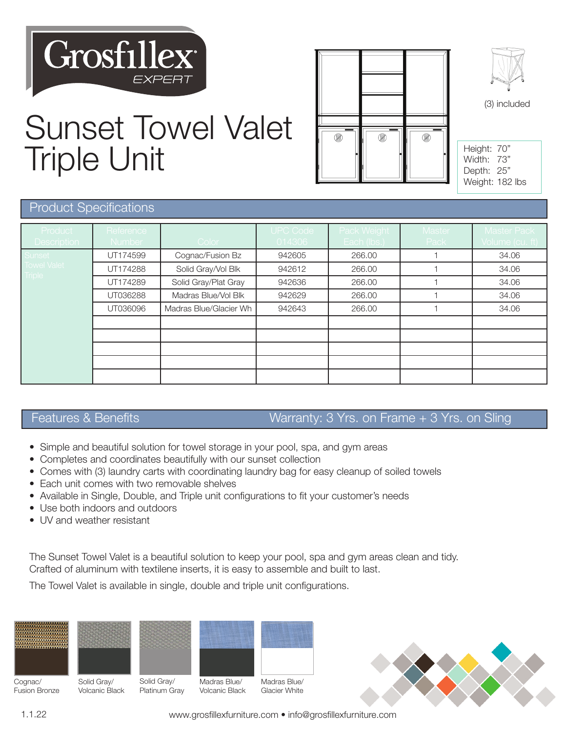

## Sunset Towel Valet Triple Unit





(3) included

| Height: 70"     |  |
|-----------------|--|
| Width: 73"      |  |
| Depth: 25"      |  |
| Weight: 182 lbs |  |

#### Product Specifications

| Product<br><b>Description</b> | Reference<br>Number | Color                  | <b>UPC Code</b><br>014306 | Pack Weight<br>Each (lbs.) | Master<br>Pack | <b>Master Pack</b><br>Volume (cu. ft) |
|-------------------------------|---------------------|------------------------|---------------------------|----------------------------|----------------|---------------------------------------|
| <b>Sunset</b>                 | UT174599            | Cognac/Fusion Bz       | 942605                    | 266.00                     |                | 34.06                                 |
| Towel Valet<br><b>Triple</b>  | UT174288            | Solid Gray/Vol Blk     | 942612                    | 266.00                     |                | 34.06                                 |
|                               | UT174289            | Solid Gray/Plat Gray   | 942636                    | 266.00                     |                | 34.06                                 |
|                               | UT036288            | Madras Blue/Vol Blk    | 942629                    | 266.00                     |                | 34.06                                 |
|                               | UT036096            | Madras Blue/Glacier Wh | 942643                    | 266.00                     |                | 34.06                                 |
|                               |                     |                        |                           |                            |                |                                       |
|                               |                     |                        |                           |                            |                |                                       |
|                               |                     |                        |                           |                            |                |                                       |
|                               |                     |                        |                           |                            |                |                                       |
|                               |                     |                        |                           |                            |                |                                       |

#### Features & Benefits Warranty: 3 Yrs. on Frame + 3 Yrs. on Sling

- Simple and beautiful solution for towel storage in your pool, spa, and gym areas
- Completes and coordinates beautifully with our sunset collection
- Comes with (3) laundry carts with coordinating laundry bag for easy cleanup of soiled towels
- Each unit comes with two removable shelves
- Available in Single, Double, and Triple unit configurations to fit your customer's needs
- Use both indoors and outdoors
- UV and weather resistant

The Sunset Towel Valet is a beautiful solution to keep your pool, spa and gym areas clean and tidy. Crafted of aluminum with textilene inserts, it is easy to assemble and built to last.

The Towel Valet is available in single, double and triple unit configurations.





Platinum Gray

Volcanic Black

Glacier White



www.grosfillexfurniture.com • info@grosfillexfurniture.com